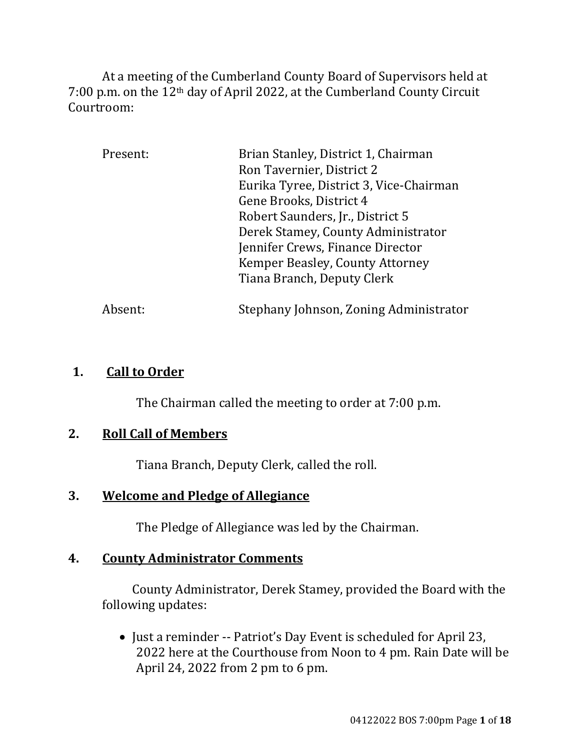At a meeting of the Cumberland County Board of Supervisors held at 7:00 p.m. on the 12th day of April 2022, at the Cumberland County Circuit Courtroom:

| Present: | Brian Stanley, District 1, Chairman<br>Ron Tavernier, District 2<br>Eurika Tyree, District 3, Vice-Chairman<br>Gene Brooks, District 4<br>Robert Saunders, Jr., District 5<br>Derek Stamey, County Administrator<br>Jennifer Crews, Finance Director<br>Kemper Beasley, County Attorney |
|----------|-----------------------------------------------------------------------------------------------------------------------------------------------------------------------------------------------------------------------------------------------------------------------------------------|
| Absent:  | Tiana Branch, Deputy Clerk<br>Stephany Johnson, Zoning Administrator                                                                                                                                                                                                                    |

### **1. Call to Order**

The Chairman called the meeting to order at 7:00 p.m.

## **2. Roll Call of Members**

Tiana Branch, Deputy Clerk, called the roll.

## **3. Welcome and Pledge of Allegiance**

The Pledge of Allegiance was led by the Chairman.

## **4. County Administrator Comments**

 County Administrator, Derek Stamey, provided the Board with the following updates:

• Just a reminder -- Patriot's Day Event is scheduled for April 23, 2022 here at the Courthouse from Noon to 4 pm. Rain Date will be April 24, 2022 from 2 pm to 6 pm.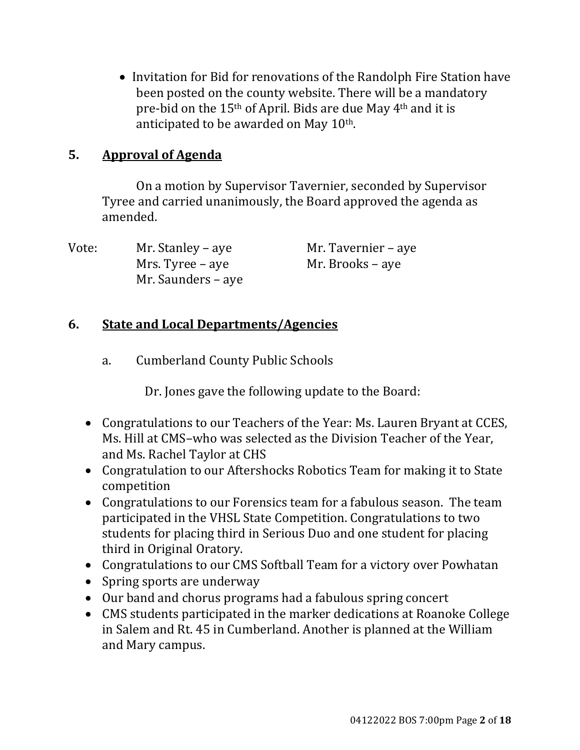• Invitation for Bid for renovations of the Randolph Fire Station have been posted on the county website. There will be a mandatory pre-bid on the 15th of April. Bids are due May 4th and it is anticipated to be awarded on May 10th.

## **5. Approval of Agenda**

On a motion by Supervisor Tavernier, seconded by Supervisor Tyree and carried unanimously, the Board approved the agenda as amended.

| Vote: | Mr. Stanley – aye  | Mr. Tavernier – aye |
|-------|--------------------|---------------------|
|       | Mrs. Tyree – aye   | Mr. Brooks – aye    |
|       | Mr. Saunders – aye |                     |

## **6. State and Local Departments/Agencies**

a. Cumberland County Public Schools

Dr. Jones gave the following update to the Board:

- Congratulations to our Teachers of the Year: Ms. Lauren Bryant at CCES, Ms. Hill at CMS–who was selected as the Division Teacher of the Year, and Ms. Rachel Taylor at CHS
- Congratulation to our Aftershocks Robotics Team for making it to State competition
- Congratulations to our Forensics team for a fabulous season. The team participated in the VHSL State Competition. Congratulations to two students for placing third in Serious Duo and one student for placing third in Original Oratory.
- Congratulations to our CMS Softball Team for a victory over Powhatan
- Spring sports are underway
- Our band and chorus programs had a fabulous spring concert
- CMS students participated in the marker dedications at Roanoke College in Salem and Rt. 45 in Cumberland. Another is planned at the William and Mary campus.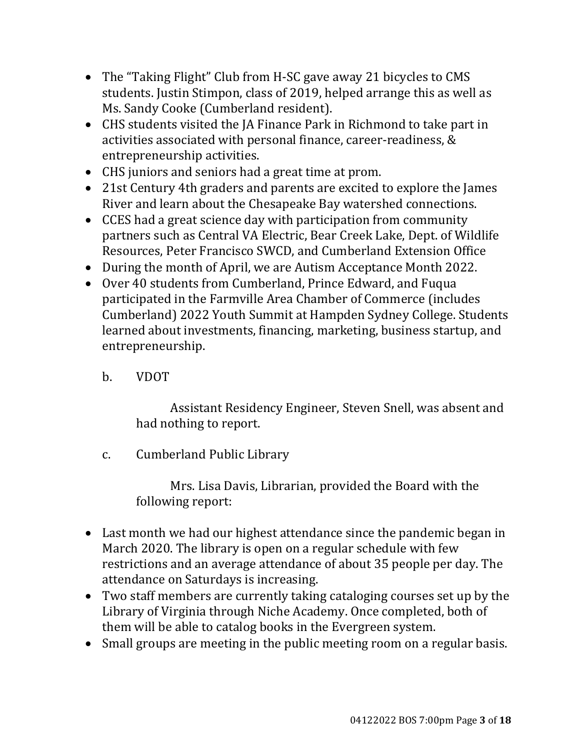- The "Taking Flight" Club from H-SC gave away 21 bicycles to CMS students. Justin Stimpon, class of 2019, helped arrange this as well as Ms. Sandy Cooke (Cumberland resident).
- CHS students visited the JA Finance Park in Richmond to take part in activities associated with personal finance, career-readiness, & entrepreneurship activities.
- CHS juniors and seniors had a great time at prom.
- 21st Century 4th graders and parents are excited to explore the James River and learn about the Chesapeake Bay watershed connections.
- CCES had a great science day with participation from community partners such as Central VA Electric, Bear Creek Lake, Dept. of Wildlife Resources, Peter Francisco SWCD, and Cumberland Extension Office
- During the month of April, we are Autism Acceptance Month 2022.
- Over 40 students from Cumberland, Prince Edward, and Fuqua participated in the Farmville Area Chamber of Commerce (includes Cumberland) 2022 Youth Summit at Hampden Sydney College. Students learned about investments, financing, marketing, business startup, and entrepreneurship.
	- b. VDOT

Assistant Residency Engineer, Steven Snell, was absent and had nothing to report.

c. Cumberland Public Library

Mrs. Lisa Davis, Librarian, provided the Board with the following report:

- Last month we had our highest attendance since the pandemic began in March 2020. The library is open on a regular schedule with few restrictions and an average attendance of about 35 people per day. The attendance on Saturdays is increasing.
- Two staff members are currently taking cataloging courses set up by the Library of Virginia through Niche Academy. Once completed, both of them will be able to catalog books in the Evergreen system.
- Small groups are meeting in the public meeting room on a regular basis.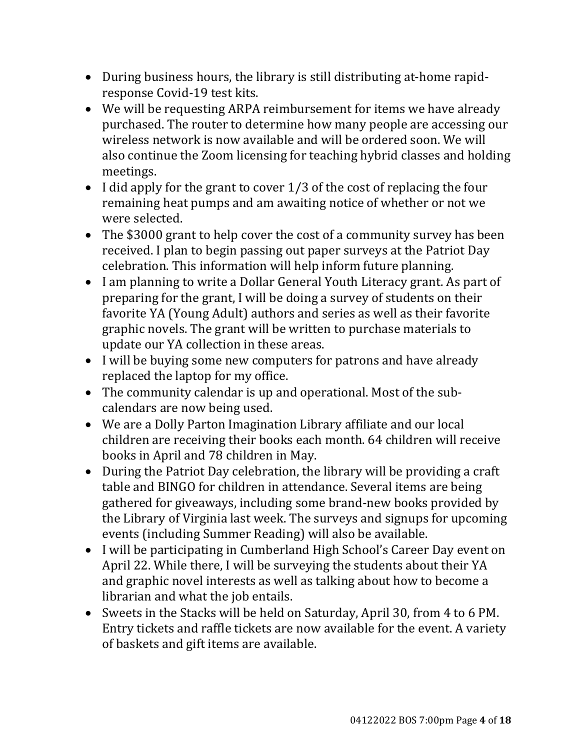- During business hours, the library is still distributing at-home rapidresponse Covid-19 test kits.
- We will be requesting ARPA reimbursement for items we have already purchased. The router to determine how many people are accessing our wireless network is now available and will be ordered soon. We will also continue the Zoom licensing for teaching hybrid classes and holding meetings.
- $\bullet$  I did apply for the grant to cover 1/3 of the cost of replacing the four remaining heat pumps and am awaiting notice of whether or not we were selected.
- The \$3000 grant to help cover the cost of a community survey has been received. I plan to begin passing out paper surveys at the Patriot Day celebration. This information will help inform future planning.
- I am planning to write a Dollar General Youth Literacy grant. As part of preparing for the grant, I will be doing a survey of students on their favorite YA (Young Adult) authors and series as well as their favorite graphic novels. The grant will be written to purchase materials to update our YA collection in these areas.
- I will be buying some new computers for patrons and have already replaced the laptop for my office.
- The community calendar is up and operational. Most of the subcalendars are now being used.
- We are a Dolly Parton Imagination Library affiliate and our local children are receiving their books each month. 64 children will receive books in April and 78 children in May.
- During the Patriot Day celebration, the library will be providing a craft table and BINGO for children in attendance. Several items are being gathered for giveaways, including some brand-new books provided by the Library of Virginia last week. The surveys and signups for upcoming events (including Summer Reading) will also be available.
- I will be participating in Cumberland High School's Career Day event on April 22. While there, I will be surveying the students about their YA and graphic novel interests as well as talking about how to become a librarian and what the job entails.
- Sweets in the Stacks will be held on Saturday, April 30, from 4 to 6 PM. Entry tickets and raffle tickets are now available for the event. A variety of baskets and gift items are available.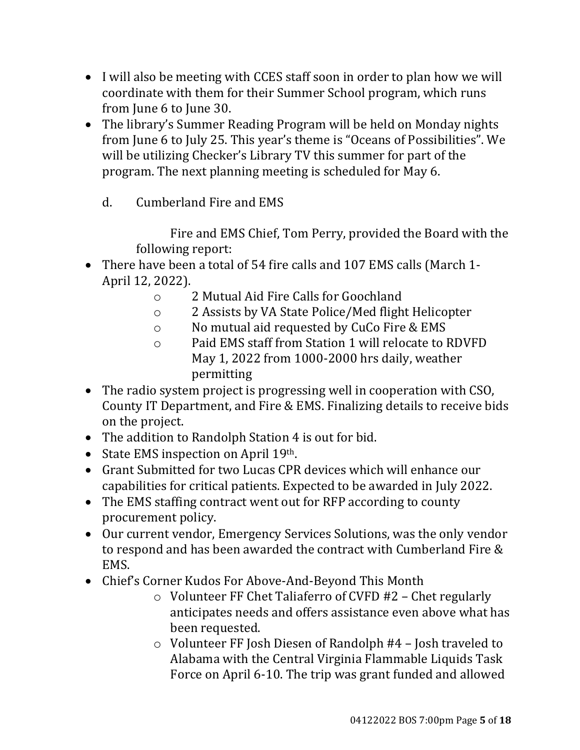- I will also be meeting with CCES staff soon in order to plan how we will coordinate with them for their Summer School program, which runs from June 6 to June 30.
- The library's Summer Reading Program will be held on Monday nights from June 6 to July 25. This year's theme is "Oceans of Possibilities". We will be utilizing Checker's Library TV this summer for part of the program. The next planning meeting is scheduled for May 6.
	- d. Cumberland Fire and EMS

Fire and EMS Chief, Tom Perry, provided the Board with the following report:

- There have been a total of 54 fire calls and 107 EMS calls (March 1- April 12, 2022).
	- o 2 Mutual Aid Fire Calls for Goochland
	- o 2 Assists by VA State Police/Med flight Helicopter
	- o No mutual aid requested by CuCo Fire & EMS
	- o Paid EMS staff from Station 1 will relocate to RDVFD May 1, 2022 from 1000-2000 hrs daily, weather permitting
- The radio system project is progressing well in cooperation with CSO, County IT Department, and Fire & EMS. Finalizing details to receive bids on the project.
- The addition to Randolph Station 4 is out for bid.
- State EMS inspection on April  $19<sup>th</sup>$ .
- Grant Submitted for two Lucas CPR devices which will enhance our capabilities for critical patients. Expected to be awarded in July 2022.
- The EMS staffing contract went out for RFP according to county procurement policy.
- Our current vendor, Emergency Services Solutions, was the only vendor to respond and has been awarded the contract with Cumberland Fire & EMS.
- Chief's Corner Kudos For Above-And-Beyond This Month
	- o Volunteer FF Chet Taliaferro of CVFD #2 Chet regularly anticipates needs and offers assistance even above what has been requested.
	- o Volunteer FF Josh Diesen of Randolph #4 Josh traveled to Alabama with the Central Virginia Flammable Liquids Task Force on April 6-10. The trip was grant funded and allowed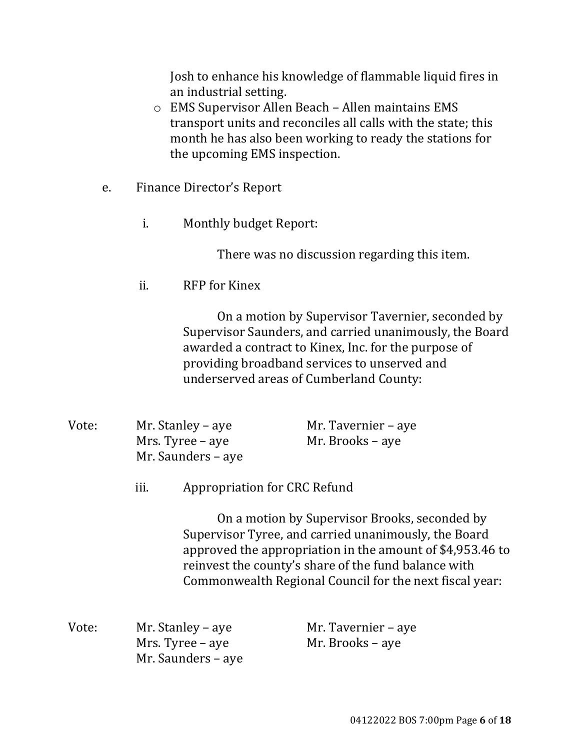Josh to enhance his knowledge of flammable liquid fires in an industrial setting.

- o EMS Supervisor Allen Beach Allen maintains EMS transport units and reconciles all calls with the state; this month he has also been working to ready the stations for the upcoming EMS inspection.
- e. Finance Director's Report
	- i. Monthly budget Report:

There was no discussion regarding this item.

ii. RFP for Kinex

On a motion by Supervisor Tavernier, seconded by Supervisor Saunders, and carried unanimously, the Board awarded a contract to Kinex, Inc. for the purpose of providing broadband services to unserved and underserved areas of Cumberland County:

| Vote: | Mr. Stanley – aye  | Mr. Tavernier – aye |
|-------|--------------------|---------------------|
|       | Mrs. Tyree – aye   | Mr. Brooks – aye    |
|       | Mr. Saunders – aye |                     |

### iii. Appropriation for CRC Refund

On a motion by Supervisor Brooks, seconded by Supervisor Tyree, and carried unanimously, the Board approved the appropriation in the amount of \$4,953.46 to reinvest the county's share of the fund balance with Commonwealth Regional Council for the next fiscal year:

| Vote: | Mr. Stanley – aye  | Mr. Tavernier – aye |
|-------|--------------------|---------------------|
|       | Mrs. Tyree – aye   | Mr. Brooks – aye    |
|       | Mr. Saunders – aye |                     |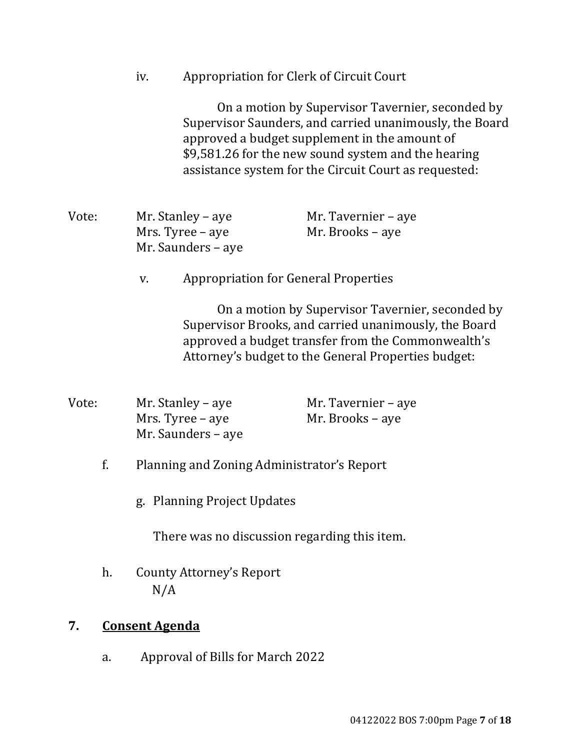- iv. Appropriation for Clerk of Circuit Court On a motion by Supervisor Tavernier, seconded by Supervisor Saunders, and carried unanimously, the Board approved a budget supplement in the amount of \$9,581.26 for the new sound system and the hearing assistance system for the Circuit Court as requested: Vote: Mr. Stanley – aye Mr. Tavernier – aye Mrs. Tyree – aye Mr. Brooks – aye Mr. Saunders – aye v. Appropriation for General Properties On a motion by Supervisor Tavernier, seconded by Supervisor Brooks, and carried unanimously, the Board approved a budget transfer from the Commonwealth's Attorney's budget to the General Properties budget: Vote: Mr. Stanley – aye Mr. Tavernier – aye Mrs. Tyree – aye Mr. Brooks – aye Mr. Saunders – aye f. Planning and Zoning Administrator's Report g. Planning Project Updates There was no discussion regarding this item. h. County Attorney's Report N/A **7. Consent Agenda**
	- a. Approval of Bills for March 2022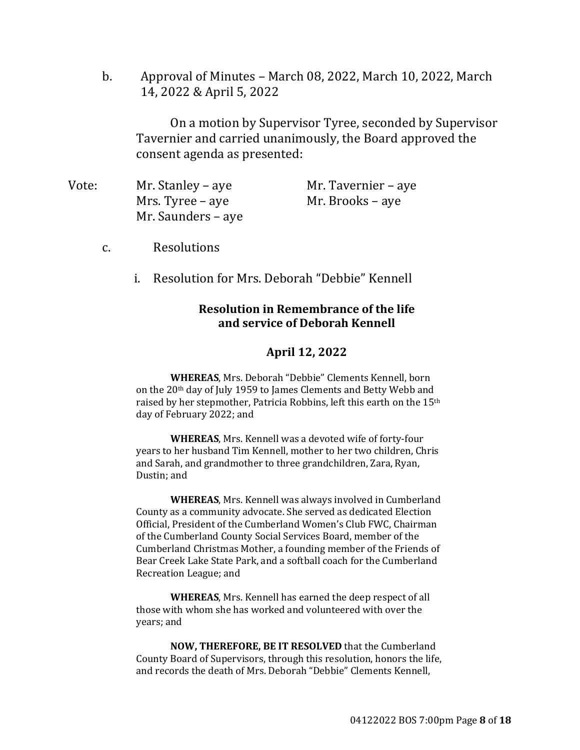b. Approval of Minutes – March 08, 2022, March 10, 2022, March 14, 2022 & April 5, 2022

On a motion by Supervisor Tyree, seconded by Supervisor Tavernier and carried unanimously, the Board approved the consent agenda as presented:

- Vote: Mr. Stanley aye Mr. Tavernier aye Mrs. Tyree – aye Mr. Brooks – aye Mr. Saunders – aye
	- c. Resolutions
		- i. Resolution for Mrs. Deborah "Debbie" Kennell

### **Resolution in Remembrance of the life and service of Deborah Kennell**

#### **April 12, 2022**

**WHEREAS**, Mrs. Deborah "Debbie" Clements Kennell, born on the 20th day of July 1959 to James Clements and Betty Webb and raised by her stepmother, Patricia Robbins, left this earth on the 15th day of February 2022; and

**WHEREAS**, Mrs. Kennell was a devoted wife of forty-four years to her husband Tim Kennell, mother to her two children, Chris and Sarah, and grandmother to three grandchildren, Zara, Ryan, Dustin; and

**WHEREAS**, Mrs. Kennell was always involved in Cumberland County as a community advocate. She served as dedicated Election Official, President of the Cumberland Women's Club FWC, Chairman of the Cumberland County Social Services Board, member of the Cumberland Christmas Mother, a founding member of the Friends of Bear Creek Lake State Park, and a softball coach for the Cumberland Recreation League; and

**WHEREAS**, Mrs. Kennell has earned the deep respect of all those with whom she has worked and volunteered with over the years; and

**NOW, THEREFORE, BE IT RESOLVED** that the Cumberland County Board of Supervisors, through this resolution, honors the life, and records the death of Mrs. Deborah "Debbie" Clements Kennell,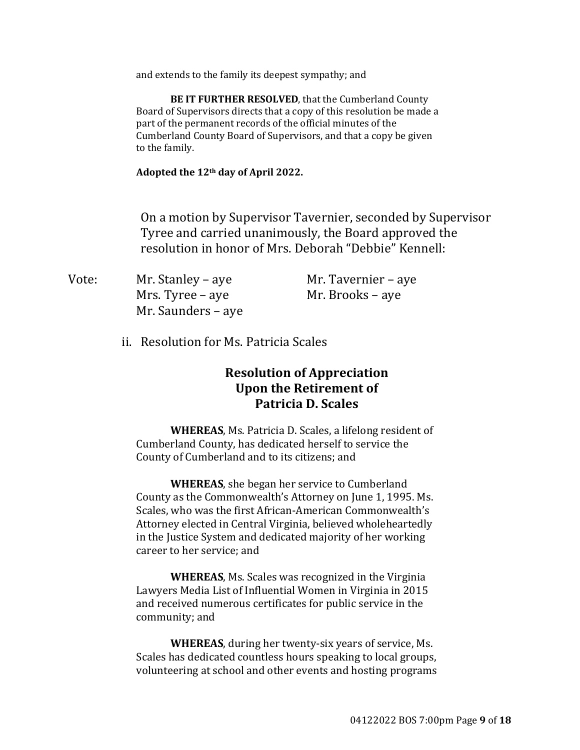and extends to the family its deepest sympathy; and

**BE IT FURTHER RESOLVED**, that the Cumberland County Board of Supervisors directs that a copy of this resolution be made a part of the permanent records of the official minutes of the Cumberland County Board of Supervisors, and that a copy be given to the family.

**Adopted the 12th day of April 2022.**

On a motion by Supervisor Tavernier, seconded by Supervisor Tyree and carried unanimously, the Board approved the resolution in honor of Mrs. Deborah "Debbie" Kennell:

| Vote: | Mr. Stanley – aye  | Mr. Tavernier – aye |
|-------|--------------------|---------------------|
|       | Mrs. Tyree – aye   | Mr. Brooks – aye    |
|       | Mr. Saunders – aye |                     |

ii. Resolution for Ms. Patricia Scales

### **Resolution of Appreciation Upon the Retirement of Patricia D. Scales**

**WHEREAS**, Ms. Patricia D. Scales, a lifelong resident of Cumberland County, has dedicated herself to service the County of Cumberland and to its citizens; and

**WHEREAS**, she began her service to Cumberland County as the Commonwealth's Attorney on June 1, 1995. Ms. Scales, who was the first African-American Commonwealth's Attorney elected in Central Virginia, believed wholeheartedly in the Justice System and dedicated majority of her working career to her service; and

**WHEREAS**, Ms. Scales was recognized in the Virginia Lawyers Media List of Influential Women in Virginia in 2015 and received numerous certificates for public service in the community; and

**WHEREAS**, during her twenty-six years of service, Ms. Scales has dedicated countless hours speaking to local groups, volunteering at school and other events and hosting programs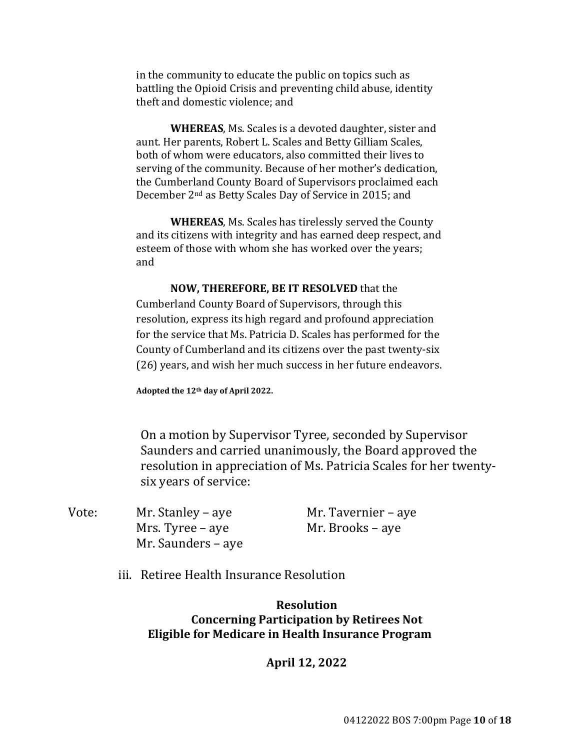in the community to educate the public on topics such as battling the Opioid Crisis and preventing child abuse, identity theft and domestic violence; and

**WHEREAS**, Ms. Scales is a devoted daughter, sister and aunt. Her parents, Robert L. Scales and Betty Gilliam Scales, both of whom were educators, also committed their lives to serving of the community. Because of her mother's dedication, the Cumberland County Board of Supervisors proclaimed each December 2nd as Betty Scales Day of Service in 2015; and

**WHEREAS**, Ms. Scales has tirelessly served the County and its citizens with integrity and has earned deep respect, and esteem of those with whom she has worked over the years; and

**NOW, THEREFORE, BE IT RESOLVED** that the Cumberland County Board of Supervisors, through this resolution, express its high regard and profound appreciation for the service that Ms. Patricia D. Scales has performed for the County of Cumberland and its citizens over the past twenty-six (26) years, and wish her much success in her future endeavors.

**Adopted the 12th day of April 2022.**

On a motion by Supervisor Tyree, seconded by Supervisor Saunders and carried unanimously, the Board approved the resolution in appreciation of Ms. Patricia Scales for her twentysix years of service:

Vote: Mr. Stanley – aye Mr. Tavernier – aye Mrs. Tyree – aye Mr. Brooks – aye Mr. Saunders – aye

iii. Retiree Health Insurance Resolution

**Resolution Concerning Participation by Retirees Not Eligible for Medicare in Health Insurance Program** 

#### **April 12, 2022**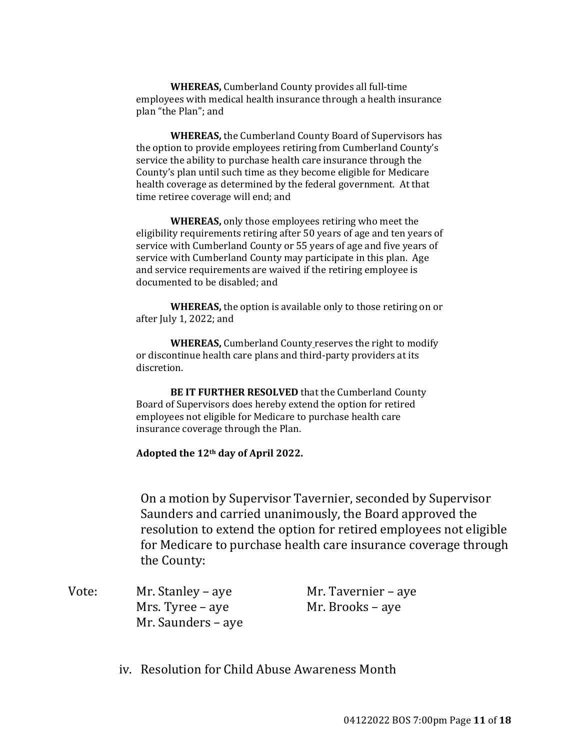**WHEREAS,** Cumberland County provides all full-time employees with medical health insurance through a health insurance plan "the Plan"; and

**WHEREAS,** the Cumberland County Board of Supervisors has the option to provide employees retiring from Cumberland County's service the ability to purchase health care insurance through the County's plan until such time as they become eligible for Medicare health coverage as determined by the federal government. At that time retiree coverage will end; and

**WHEREAS,** only those employees retiring who meet the eligibility requirements retiring after 50 years of age and ten years of service with Cumberland County or 55 years of age and five years of service with Cumberland County may participate in this plan. Age and service requirements are waived if the retiring employee is documented to be disabled; and

**WHEREAS,** the option is available only to those retiring on or after July 1, 2022; and

**WHEREAS,** Cumberland County reserves the right to modify or discontinue health care plans and third-party providers at its discretion.

**BE IT FURTHER RESOLVED** that the Cumberland County Board of Supervisors does hereby extend the option for retired employees not eligible for Medicare to purchase health care insurance coverage through the Plan.

#### **Adopted the 12th day of April 2022.**

On a motion by Supervisor Tavernier, seconded by Supervisor Saunders and carried unanimously, the Board approved the resolution to extend the option for retired employees not eligible for Medicare to purchase health care insurance coverage through the County:

| Vote: | Mr. Stanley – aye  | Mr. Tavernier – aye |
|-------|--------------------|---------------------|
|       | Mrs. Tyree – aye   | Mr. Brooks – aye    |
|       | Mr. Saunders – aye |                     |

iv. Resolution for Child Abuse Awareness Month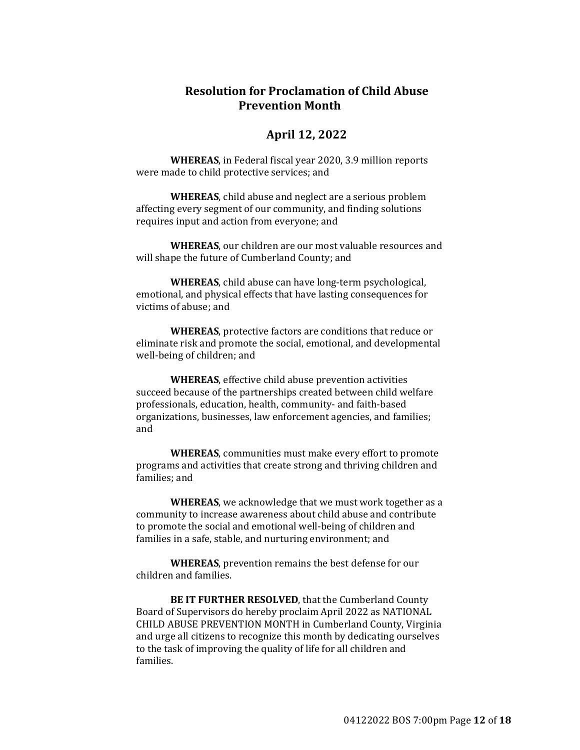### **Resolution for Proclamation of Child Abuse Prevention Month**

### **April 12, 2022**

**WHEREAS**, in Federal fiscal year 2020, 3.9 million reports were made to child protective services; and

**WHEREAS**, child abuse and neglect are a serious problem affecting every segment of our community, and finding solutions requires input and action from everyone; and

**WHEREAS**, our children are our most valuable resources and will shape the future of Cumberland County; and

**WHEREAS**, child abuse can have long-term psychological, emotional, and physical effects that have lasting consequences for victims of abuse; and

**WHEREAS**, protective factors are conditions that reduce or eliminate risk and promote the social, emotional, and developmental well-being of children; and

**WHEREAS**, effective child abuse prevention activities succeed because of the partnerships created between child welfare professionals, education, health, community- and faith-based organizations, businesses, law enforcement agencies, and families; and

**WHEREAS**, communities must make every effort to promote programs and activities that create strong and thriving children and families; and

**WHEREAS**, we acknowledge that we must work together as a community to increase awareness about child abuse and contribute to promote the social and emotional well-being of children and families in a safe, stable, and nurturing environment; and

**WHEREAS**, prevention remains the best defense for our children and families.

**BE IT FURTHER RESOLVED**, that the Cumberland County Board of Supervisors do hereby proclaim April 2022 as NATIONAL CHILD ABUSE PREVENTION MONTH in Cumberland County, Virginia and urge all citizens to recognize this month by dedicating ourselves to the task of improving the quality of life for all children and families.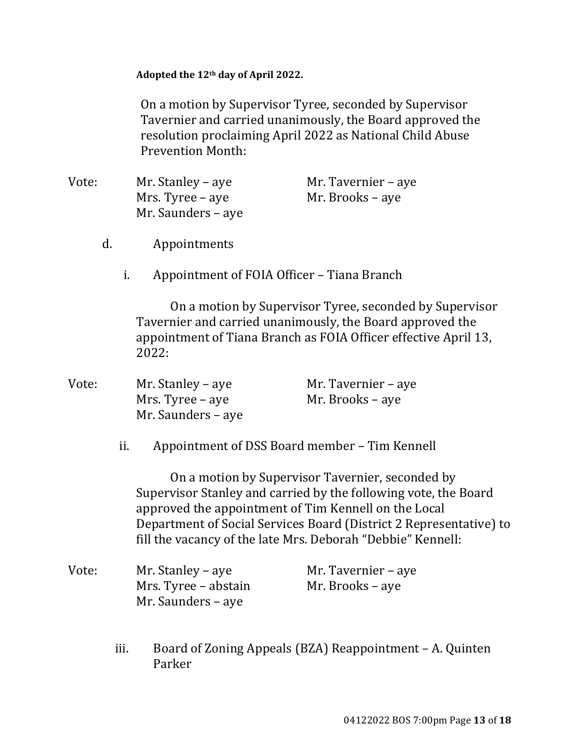#### **Adopted the 12th day of April 2022.**

On a motion by Supervisor Tyree, seconded by Supervisor Tavernier and carried unanimously, the Board approved the resolution proclaiming April 2022 as National Child Abuse Prevention Month:

| Vote: | Mr. Stanley – aye  | Mr. Tavernier – aye |
|-------|--------------------|---------------------|
|       | Mrs. Tyree – aye   | Mr. Brooks – aye    |
|       | Mr. Saunders – aye |                     |

- d. Appointments
	- i. Appointment of FOIA Officer Tiana Branch

On a motion by Supervisor Tyree, seconded by Supervisor Tavernier and carried unanimously, the Board approved the appointment of Tiana Branch as FOIA Officer effective April 13,  $2022:$ 

| Vote: | Mr. Stanley – aye  | Mr. Tavernier – aye |
|-------|--------------------|---------------------|
|       | Mrs. Tyree – aye   | Mr. Brooks – aye    |
|       | Mr. Saunders – aye |                     |

ii. Appointment of DSS Board member – Tim Kennell

On a motion by Supervisor Tavernier, seconded by Supervisor Stanley and carried by the following vote, the Board approved the appointment of Tim Kennell on the Local Department of Social Services Board (District 2 Representative) to fill the vacancy of the late Mrs. Deborah "Debbie" Kennell:

| Vote: | Mr. Stanley – aye    | Mr. Tavernier – aye |
|-------|----------------------|---------------------|
|       | Mrs. Tyree – abstain | Mr. Brooks – aye    |
|       | Mr. Saunders – aye   |                     |

iii. Board of Zoning Appeals (BZA) Reappointment – A. Quinten Parker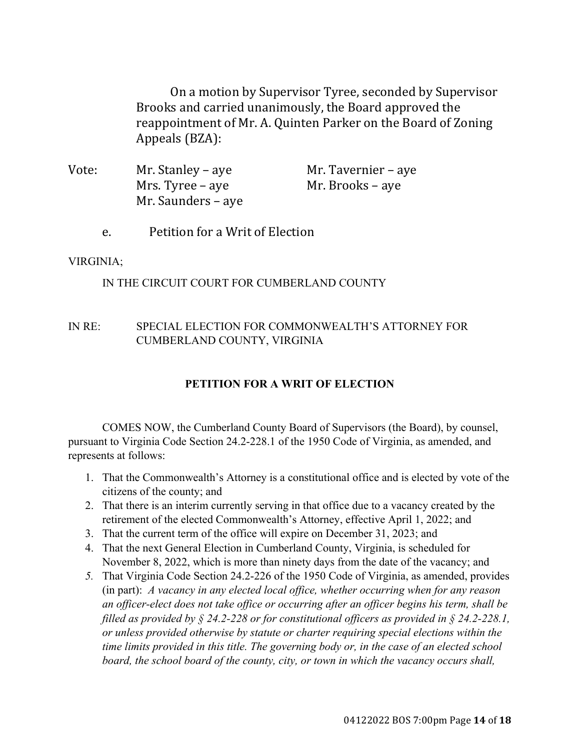On a motion by Supervisor Tyree, seconded by Supervisor Brooks and carried unanimously, the Board approved the reappointment of Mr. A. Quinten Parker on the Board of Zoning Appeals (BZA):

| Vote: | Mr. Stanley – aye  | Mr. Tavernier – aye |
|-------|--------------------|---------------------|
|       | Mrs. Tyree – aye   | Mr. Brooks – aye    |
|       | Mr. Saunders – aye |                     |

e. Petition for a Writ of Election

VIRGINIA;

### IN THE CIRCUIT COURT FOR CUMBERLAND COUNTY

### IN RE: SPECIAL ELECTION FOR COMMONWEALTH'S ATTORNEY FOR CUMBERLAND COUNTY, VIRGINIA

### **PETITION FOR A WRIT OF ELECTION**

 COMES NOW, the Cumberland County Board of Supervisors (the Board), by counsel, pursuant to Virginia Code Section 24.2-228.1 of the 1950 Code of Virginia, as amended, and represents at follows:

- 1. That the Commonwealth's Attorney is a constitutional office and is elected by vote of the citizens of the county; and
- 2. That there is an interim currently serving in that office due to a vacancy created by the retirement of the elected Commonwealth's Attorney, effective April 1, 2022; and
- 3. That the current term of the office will expire on December 31, 2023; and
- 4. That the next General Election in Cumberland County, Virginia, is scheduled for November 8, 2022, which is more than ninety days from the date of the vacancy; and
- *5.* That Virginia Code Section 24.2-226 of the 1950 Code of Virginia, as amended, provides (in part): *A vacancy in any elected local office, whether occurring when for any reason an officer-elect does not take office or occurring after an officer begins his term, shall be filled as provided by § 24.2-228 or for constitutional officers as provided in § 24.2-228.1, or unless provided otherwise by statute or charter requiring special elections within the time limits provided in this title. The governing body or, in the case of an elected school board, the school board of the county, city, or town in which the vacancy occurs shall,*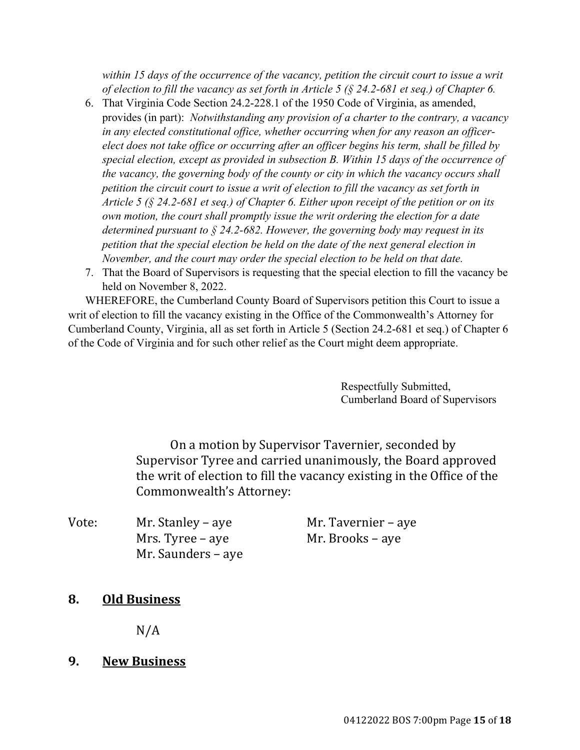*within 15 days of the occurrence of the vacancy, petition the circuit court to issue a writ of election to fill the vacancy as set forth in Article 5 (§ 24.2-681 et seq.) of Chapter 6.* 

- 6. That Virginia Code Section 24.2-228.1 of the 1950 Code of Virginia, as amended, provides (in part): *Notwithstanding any provision of a charter to the contrary, a vacancy in any elected constitutional office, whether occurring when for any reason an officerelect does not take office or occurring after an officer begins his term, shall be filled by special election, except as provided in subsection B. Within 15 days of the occurrence of the vacancy, the governing body of the county or city in which the vacancy occurs shall petition the circuit court to issue a writ of election to fill the vacancy as set forth in Article 5 (§ 24.2-681 et seq.) of Chapter 6. Either upon receipt of the petition or on its own motion, the court shall promptly issue the writ ordering the election for a date determined pursuant to § 24.2-682. However, the governing body may request in its petition that the special election be held on the date of the next general election in November, and the court may order the special election to be held on that date.*
- 7. That the Board of Supervisors is requesting that the special election to fill the vacancy be held on November 8, 2022.

WHEREFORE, the Cumberland County Board of Supervisors petition this Court to issue a writ of election to fill the vacancy existing in the Office of the Commonwealth's Attorney for Cumberland County, Virginia, all as set forth in Article 5 (Section 24.2-681 et seq.) of Chapter 6 of the Code of Virginia and for such other relief as the Court might deem appropriate.

> Respectfully Submitted, Cumberland Board of Supervisors

On a motion by Supervisor Tavernier, seconded by Supervisor Tyree and carried unanimously, the Board approved the writ of election to fill the vacancy existing in the Office of the Commonwealth's Attorney:

| Vote: | Mr. Stanley – aye  | Mr. Tavernier – aye |
|-------|--------------------|---------------------|
|       | Mrs. Tyree – aye   | Mr. Brooks – aye    |
|       | Mr. Saunders – aye |                     |

### **8. Old Business**

N/A

### **9. New Business**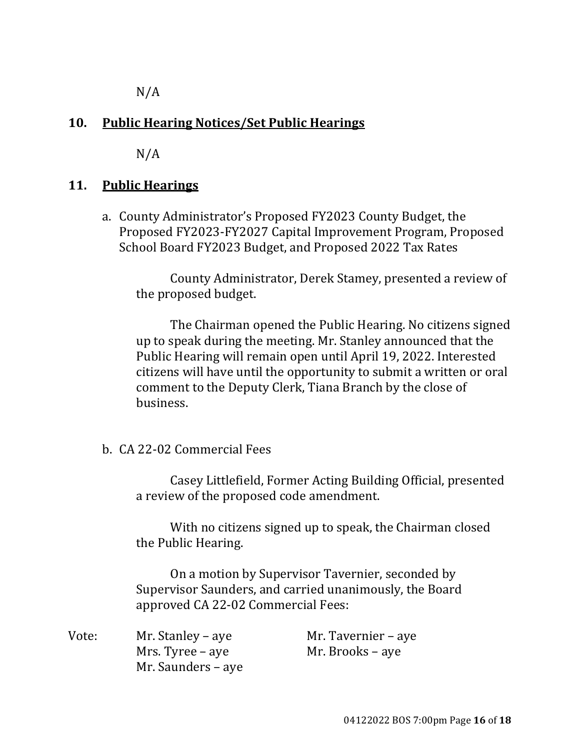N/A

## **10. Public Hearing Notices/Set Public Hearings**

N/A

### **11. Public Hearings**

a. County Administrator's Proposed FY2023 County Budget, the Proposed FY2023-FY2027 Capital Improvement Program, Proposed School Board FY2023 Budget, and Proposed 2022 Tax Rates

County Administrator, Derek Stamey, presented a review of the proposed budget.

The Chairman opened the Public Hearing. No citizens signed up to speak during the meeting. Mr. Stanley announced that the Public Hearing will remain open until April 19, 2022. Interested citizens will have until the opportunity to submit a written or oral comment to the Deputy Clerk, Tiana Branch by the close of business.

b. CA 22-02 Commercial Fees

Casey Littlefield, Former Acting Building Official, presented a review of the proposed code amendment.

With no citizens signed up to speak, the Chairman closed the Public Hearing.

On a motion by Supervisor Tavernier, seconded by Supervisor Saunders, and carried unanimously, the Board approved CA 22-02 Commercial Fees:

| Vote: | Mr. Stanley – aye  | Mr. Tavernier – aye |
|-------|--------------------|---------------------|
|       | Mrs. Tyree – aye   | Mr. Brooks – aye    |
|       | Mr. Saunders – aye |                     |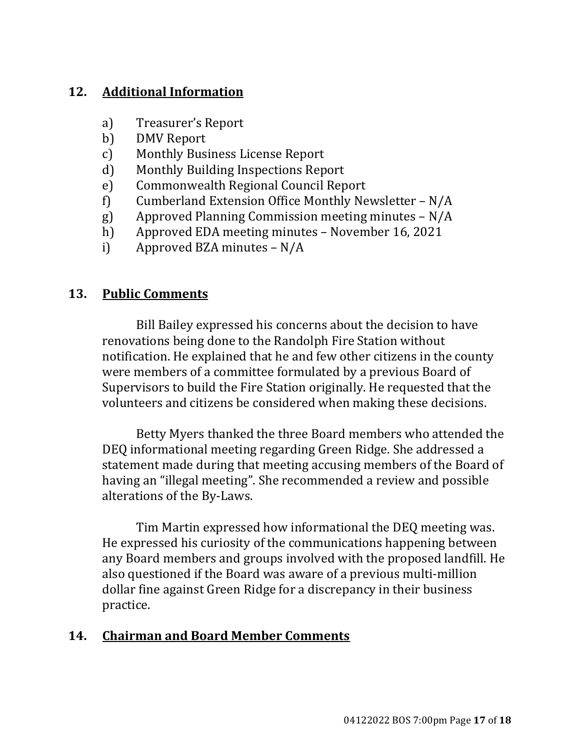## **12. Additional Information**

- a) Treasurer's Report
- b) DMV Report
- c) Monthly Business License Report
- d) Monthly Building Inspections Report
- e) Commonwealth Regional Council Report
- f) Cumberland Extension Office Monthly Newsletter N/A
- g) Approved Planning Commission meeting minutes N/A
- h) Approved EDA meeting minutes November 16, 2021
- i) Approved BZA minutes N/A

# **13. Public Comments**

Bill Bailey expressed his concerns about the decision to have renovations being done to the Randolph Fire Station without notification. He explained that he and few other citizens in the county were members of a committee formulated by a previous Board of Supervisors to build the Fire Station originally. He requested that the volunteers and citizens be considered when making these decisions.

Betty Myers thanked the three Board members who attended the DEQ informational meeting regarding Green Ridge. She addressed a statement made during that meeting accusing members of the Board of having an "illegal meeting". She recommended a review and possible alterations of the By-Laws.

Tim Martin expressed how informational the DEQ meeting was. He expressed his curiosity of the communications happening between any Board members and groups involved with the proposed landfill. He also questioned if the Board was aware of a previous multi-million dollar fine against Green Ridge for a discrepancy in their business practice.

# **14. Chairman and Board Member Comments**